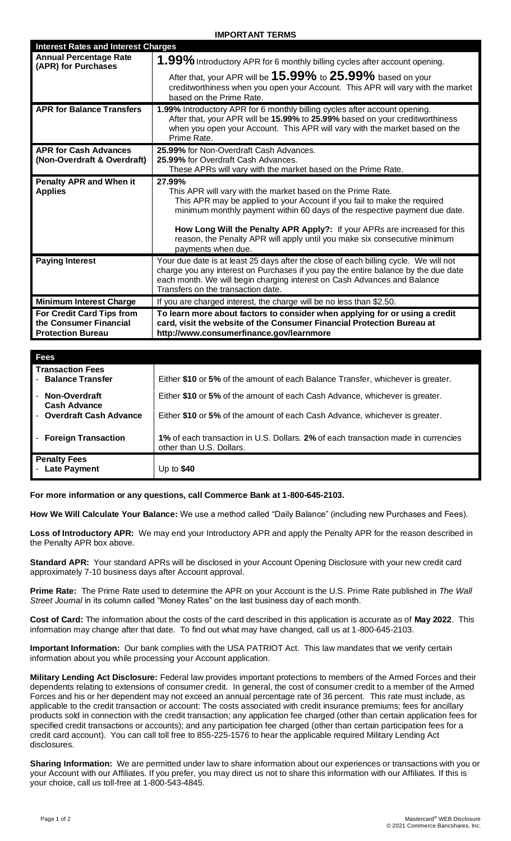## **IMPORTANT TERMS**

| <b>Interest Rates and Interest Charges</b>           |                                                                                            |
|------------------------------------------------------|--------------------------------------------------------------------------------------------|
| <b>Annual Percentage Rate</b><br>(APR) for Purchases | 1.99% Introductory APR for 6 monthly billing cycles after account opening.                 |
|                                                      | After that, your APR will be $15.99\%$ to $25.99\%$ based on your                          |
|                                                      | creditworthiness when you open your Account. This APR will vary with the market            |
|                                                      | based on the Prime Rate.                                                                   |
| <b>APR for Balance Transfers</b>                     | 1.99% Introductory APR for 6 monthly billing cycles after account opening.                 |
|                                                      | After that, your APR will be 15.99% to 25.99% based on your creditworthiness               |
|                                                      | when you open your Account. This APR will vary with the market based on the<br>Prime Rate. |
| <b>APR for Cash Advances</b>                         | 25.99% for Non-Overdraft Cash Advances.                                                    |
| (Non-Overdraft & Overdraft)                          | 25.99% for Overdraft Cash Advances.                                                        |
|                                                      | These APRs will vary with the market based on the Prime Rate.                              |
| <b>Penalty APR and When it</b>                       | 27.99%                                                                                     |
| <b>Applies</b>                                       | This APR will vary with the market based on the Prime Rate.                                |
|                                                      | This APR may be applied to your Account if you fail to make the required                   |
|                                                      | minimum monthly payment within 60 days of the respective payment due date.                 |
|                                                      | How Long Will the Penalty APR Apply?: If your APRs are increased for this                  |
|                                                      | reason, the Penalty APR will apply until you make six consecutive minimum                  |
|                                                      | payments when due.                                                                         |
| <b>Paying Interest</b>                               | Your due date is at least 25 days after the close of each billing cycle. We will not       |
|                                                      | charge you any interest on Purchases if you pay the entire balance by the due date         |
|                                                      | each month. We will begin charging interest on Cash Advances and Balance                   |
|                                                      | Transfers on the transaction date.                                                         |
| <b>Minimum Interest Charge</b>                       | If you are charged interest, the charge will be no less than \$2.50.                       |
| For Credit Card Tips from                            | To learn more about factors to consider when applying for or using a credit                |
| the Consumer Financial                               | card, visit the website of the Consumer Financial Protection Bureau at                     |
| <b>Protection Bureau</b>                             | http://www.consumerfinance.gov/learnmore                                                   |

| <b>Fees</b>                                   |                                                                                                               |
|-----------------------------------------------|---------------------------------------------------------------------------------------------------------------|
| <b>Transaction Fees</b><br>- Balance Transfer | Either \$10 or 5% of the amount of each Balance Transfer, whichever is greater.                               |
| - Non-Overdraft<br><b>Cash Advance</b>        | Either \$10 or 5% of the amount of each Cash Advance, whichever is greater.                                   |
| - Overdraft Cash Advance                      | Either \$10 or 5% of the amount of each Cash Advance, whichever is greater.                                   |
| - Foreign Transaction                         | 1% of each transaction in U.S. Dollars. 2% of each transaction made in currencies<br>other than U.S. Dollars. |
| <b>Penalty Fees</b><br>- Late Payment         | Up to $$40$                                                                                                   |

**For more information or any questions, call Commerce Bank at 1-800-645-2103.**

**How We Will Calculate Your Balance:** We use a method called "Daily Balance" (including new Purchases and Fees).

**Loss of Introductory APR:** We may end your Introductory APR and apply the Penalty APR for the reason described in the Penalty APR box above.

**Standard APR:** Your standard APRs will be disclosed in your Account Opening Disclosure with your new credit card approximately 7-10 business days after Account approval.

**Prime Rate:** The Prime Rate used to determine the APR on your Account is the U.S. Prime Rate published in *The Wall Street Journal* in its column called "Money Rates" on the last business day of each month.

**Cost of Card:** The information about the costs of the card described in this application is accurate as of **May 2022**. This information may change after that date. To find out what may have changed, call us at 1-800-645-2103.

**Important Information:** Our bank complies with the USA PATRIOT Act. This law mandates that we verify certain information about you while processing your Account application.

**Military Lending Act Disclosure:** Federal law provides important protections to members of the Armed Forces and their dependents relating to extensions of consumer credit. In general, the cost of consumer credit to a member of the Armed Forces and his or her dependent may not exceed an annual percentage rate of 36 percent. This rate must include, as applicable to the credit transaction or account: The costs associated with credit insurance premiums; fees for ancillary products sold in connection with the credit transaction; any application fee charged (other than certain application fees for specified credit transactions or accounts); and any participation fee charged (other than certain participation fees for a credit card account). You can call toll free to 855-225-1576 to hear the applicable required Military Lending Act disclosures.

**Sharing Information:** We are permitted under law to share information about our experiences or transactions with you or your Account with our Affiliates. If you prefer, you may direct us not to share this information with our Affiliates. If this is your choice, call us toll-free at 1-800-543-4845.